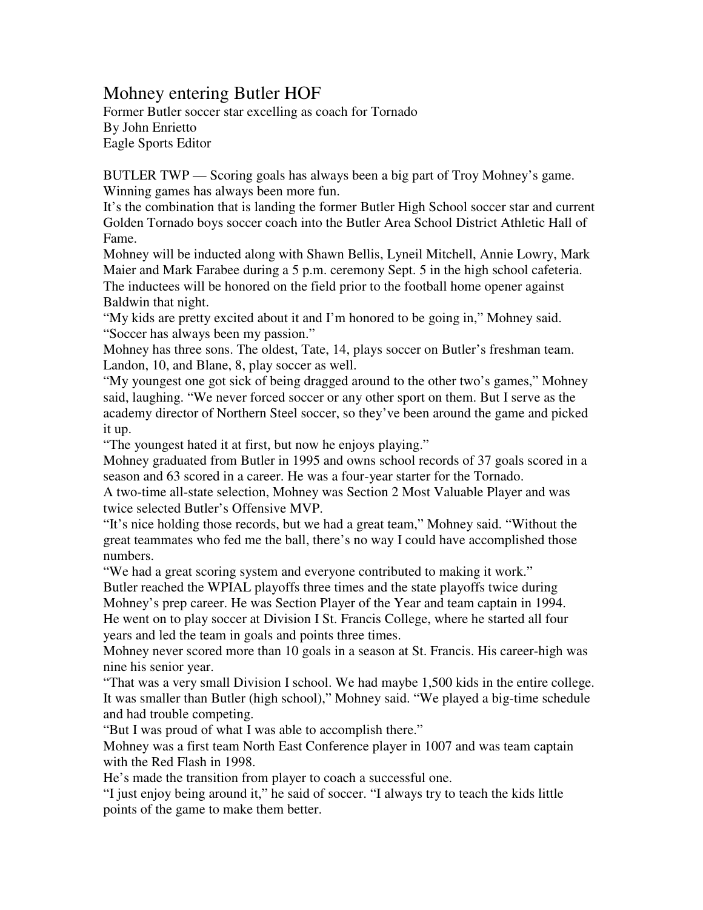## Mohney entering Butler HOF

Former Butler soccer star excelling as coach for Tornado By John Enrietto Eagle Sports Editor

BUTLER TWP — Scoring goals has always been a big part of Troy Mohney's game. Winning games has always been more fun.

It's the combination that is landing the former Butler High School soccer star and current Golden Tornado boys soccer coach into the Butler Area School District Athletic Hall of Fame.

Mohney will be inducted along with Shawn Bellis, Lyneil Mitchell, Annie Lowry, Mark Maier and Mark Farabee during a 5 p.m. ceremony Sept. 5 in the high school cafeteria. The inductees will be honored on the field prior to the football home opener against Baldwin that night.

"My kids are pretty excited about it and I'm honored to be going in," Mohney said. "Soccer has always been my passion."

Mohney has three sons. The oldest, Tate, 14, plays soccer on Butler's freshman team. Landon, 10, and Blane, 8, play soccer as well.

"My youngest one got sick of being dragged around to the other two's games," Mohney said, laughing. "We never forced soccer or any other sport on them. But I serve as the academy director of Northern Steel soccer, so they've been around the game and picked it up.

"The youngest hated it at first, but now he enjoys playing."

Mohney graduated from Butler in 1995 and owns school records of 37 goals scored in a season and 63 scored in a career. He was a four-year starter for the Tornado.

A two-time all-state selection, Mohney was Section 2 Most Valuable Player and was twice selected Butler's Offensive MVP.

"It's nice holding those records, but we had a great team," Mohney said. "Without the great teammates who fed me the ball, there's no way I could have accomplished those numbers.

"We had a great scoring system and everyone contributed to making it work."

Butler reached the WPIAL playoffs three times and the state playoffs twice during Mohney's prep career. He was Section Player of the Year and team captain in 1994. He went on to play soccer at Division I St. Francis College, where he started all four years and led the team in goals and points three times.

Mohney never scored more than 10 goals in a season at St. Francis. His career-high was nine his senior year.

"That was a very small Division I school. We had maybe 1,500 kids in the entire college. It was smaller than Butler (high school)," Mohney said. "We played a big-time schedule and had trouble competing.

"But I was proud of what I was able to accomplish there."

Mohney was a first team North East Conference player in 1007 and was team captain with the Red Flash in 1998.

He's made the transition from player to coach a successful one.

"I just enjoy being around it," he said of soccer. "I always try to teach the kids little points of the game to make them better.